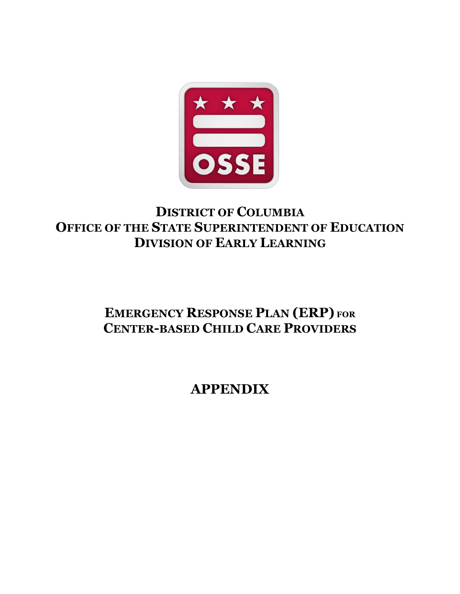

## **DISTRICT OF COLUMBIA OFFICE OF THE STATE SUPERINTENDENT OF EDUCATION DIVISION OF EARLY LEARNING**

# **EMERGENCY RESPONSE PLAN (ERP) FOR CENTER-BASED CHILD CARE PROVIDERS**

**APPENDIX**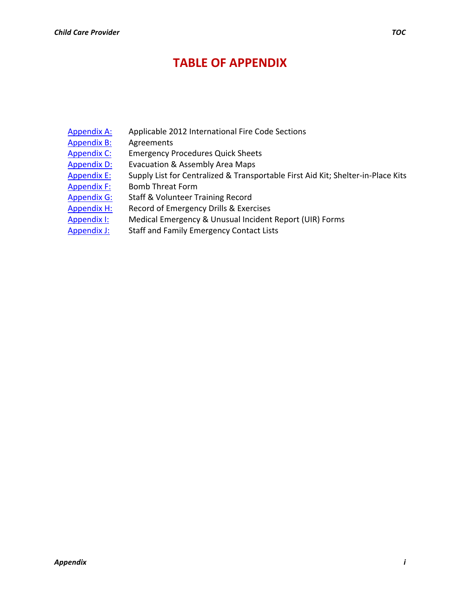### **TABLE OF APPENDIX**

- Appendix A: Applicable 2012 International Fire Code Sections
- Appendix B: Agreements
- Appendix C: Emergency Procedures Quick Sheets
- Appendix D: Evacuation & Assembly Area Maps
- Appendix E: Supply List for Centralized & Transportable First Aid Kit; Shelter-in-Place Kits
- Appendix F: Bomb Threat Form
- Appendix G: Staff & Volunteer Training Record
- Appendix H: Record of Emergency Drills & Exercises
- Appendix I: Medical Emergency & Unusual Incident Report (UIR) Forms
- Appendix J: Staff and Family Emergency Contact Lists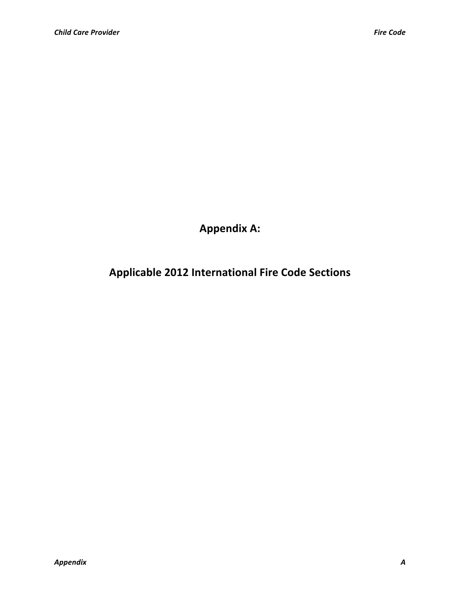**Appendix A:**

**Applicable 2012 International Fire Code Sections**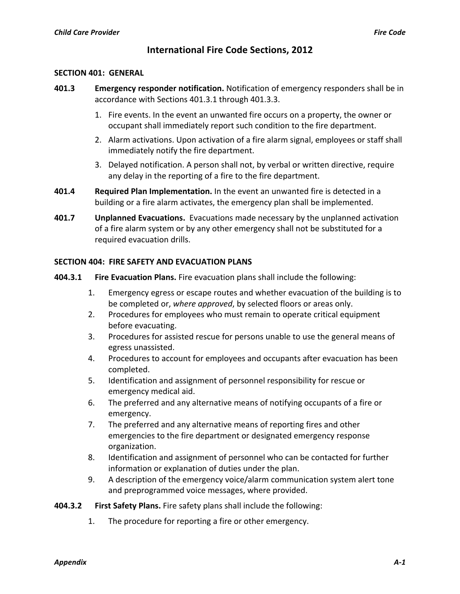### **International Fire Code Sections, 2012**

#### **SECTION 401: GENERAL**

- **401.3 Emergency responder notification.** Notification of emergency responders shall be in accordance with Sections 401.3.1 through 401.3.3.
	- 1. Fire events. In the event an unwanted fire occurs on a property, the owner or occupant shall immediately report such condition to the fire department.
	- 2. Alarm activations. Upon activation of a fire alarm signal, employees or staff shall immediately notify the fire department.
	- 3. Delayed notification. A person shall not, by verbal or written directive, require any delay in the reporting of a fire to the fire department.
- **401.4 Required Plan Implementation.** In the event an unwanted fire is detected in a building or a fire alarm activates, the emergency plan shall be implemented.
- **401.7 Unplanned Evacuations.** Evacuations made necessary by the unplanned activation of a fire alarm system or by any other emergency shall not be substituted for a required evacuation drills.

#### **SECTION 404: FIRE SAFETY AND EVACUATION PLANS**

- **404.3.1 Fire Evacuation Plans.** Fire evacuation plans shall include the following:
	- 1. Emergency egress or escape routes and whether evacuation of the building is to be completed or, where approved, by selected floors or areas only.
	- 2. Procedures for employees who must remain to operate critical equipment before evacuating.
	- 3. Procedures for assisted rescue for persons unable to use the general means of egress unassisted.
	- 4. Procedures to account for employees and occupants after evacuation has been completed.
	- 5. Identification and assignment of personnel responsibility for rescue or emergency medical aid.
	- 6. The preferred and any alternative means of notifying occupants of a fire or emergency.
	- 7. The preferred and any alternative means of reporting fires and other emergencies to the fire department or designated emergency response organization.
	- 8. Identification and assignment of personnel who can be contacted for further information or explanation of duties under the plan.
	- 9. A description of the emergency voice/alarm communication system alert tone and preprogrammed voice messages, where provided.

#### **404.3.2 First Safety Plans.** Fire safety plans shall include the following:

1. The procedure for reporting a fire or other emergency.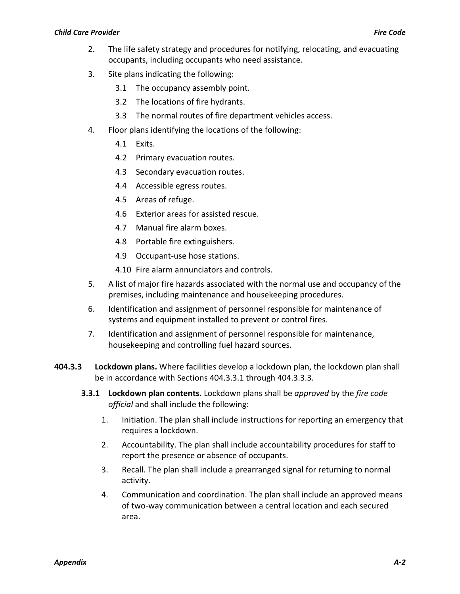- 2. The life safety strategy and procedures for notifying, relocating, and evacuating occupants, including occupants who need assistance.
- 3. Site plans indicating the following:
	- 3.1 The occupancy assembly point.
	- 3.2 The locations of fire hydrants.
	- 3.3 The normal routes of fire department vehicles access.
- 4. Floor plans identifying the locations of the following:
	- 4.1 Exits.
	- 4.2 Primary evacuation routes.
	- 4.3 Secondary evacuation routes.
	- 4.4 Accessible egress routes.
	- 4.5 Areas of refuge.
	- 4.6 Exterior areas for assisted rescue.
	- 4.7 Manual fire alarm boxes.
	- 4.8 Portable fire extinguishers.
	- 4.9 Occupant-use hose stations.
	- 4.10 Fire alarm annunciators and controls.
- 5. A list of major fire hazards associated with the normal use and occupancy of the premises, including maintenance and housekeeping procedures.
- 6. Identification and assignment of personnel responsible for maintenance of systems and equipment installed to prevent or control fires.
- 7. Identification and assignment of personnel responsible for maintenance, housekeeping and controlling fuel hazard sources.
- **404.3.3** Lockdown plans. Where facilities develop a lockdown plan, the lockdown plan shall be in accordance with Sections 404.3.3.1 through 404.3.3.3.
	- **3.3.1 Lockdown plan contents.** Lockdown plans shall be *approved* by the *fire code* official and shall include the following:
		- 1. Initiation. The plan shall include instructions for reporting an emergency that requires a lockdown.
		- 2. Accountability. The plan shall include accountability procedures for staff to report the presence or absence of occupants.
		- 3. Recall. The plan shall include a prearranged signal for returning to normal activity.
		- 4. Communication and coordination. The plan shall include an approved means of two-way communication between a central location and each secured area.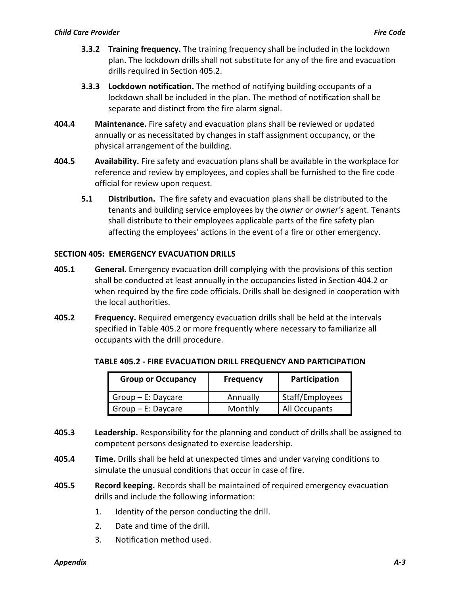- **3.3.2 Training frequency.** The training frequency shall be included in the lockdown plan. The lockdown drills shall not substitute for any of the fire and evacuation drills required in Section 405.2.
- **3.3.3 Lockdown notification.** The method of notifying building occupants of a lockdown shall be included in the plan. The method of notification shall be separate and distinct from the fire alarm signal.
- **404.4 Maintenance.** Fire safety and evacuation plans shall be reviewed or updated annually or as necessitated by changes in staff assignment occupancy, or the physical arrangement of the building.
- **404.5 Availability.** Fire safety and evacuation plans shall be available in the workplace for reference and review by employees, and copies shall be furnished to the fire code official for review upon request.
	- **5.1 Distribution.** The fire safety and evacuation plans shall be distributed to the tenants and building service employees by the *owner* or *owner's* agent. Tenants shall distribute to their employees applicable parts of the fire safety plan affecting the employees' actions in the event of a fire or other emergency.

#### **SECTION 405: EMERGENCY EVACUATION DRILLS**

- **405.1 General.** Emergency evacuation drill complying with the provisions of this section shall be conducted at least annually in the occupancies listed in Section 404.2 or when required by the fire code officials. Drills shall be designed in cooperation with the local authorities.
- **405.2 Frequency.** Required emergency evacuation drills shall be held at the intervals specified in Table 405.2 or more frequently where necessary to familiarize all occupants with the drill procedure.

| <b>Group or Occupancy</b> | <b>Frequency</b> | Participation   |
|---------------------------|------------------|-----------------|
| $Group - E:$ Daycare      | Annually         | Staff/Employees |
| $Group - E:$ Daycare      | Monthly          | All Occupants   |

#### **TABLE 405.2 - FIRE EVACUATION DRILL FREQUENCY AND PARTICIPATION**

- **405.3 Leadership.** Responsibility for the planning and conduct of drills shall be assigned to competent persons designated to exercise leadership.
- **405.4 Time.** Drills shall be held at unexpected times and under varying conditions to simulate the unusual conditions that occur in case of fire.
- **405.5 Record keeping.** Records shall be maintained of required emergency evacuation drills and include the following information:
	- 1. Identity of the person conducting the drill.
	- 2. Date and time of the drill.
	- 3. Notification method used.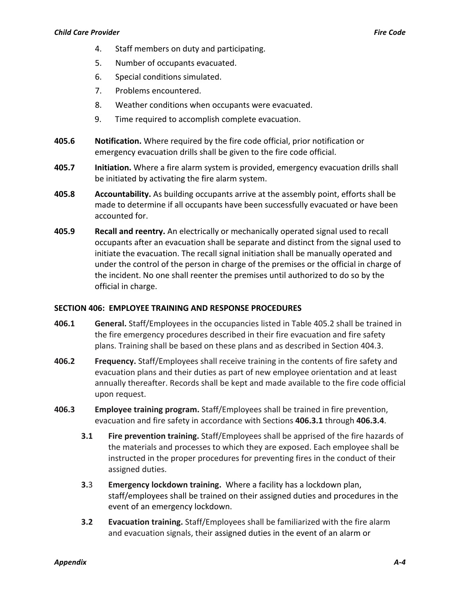- 4. Staff members on duty and participating.
- 5. Number of occupants evacuated.
- 6. Special conditions simulated.
- 7. Problems encountered.
- 8. Weather conditions when occupants were evacuated.
- 9. Time required to accomplish complete evacuation.
- **405.6 Notification.** Where required by the fire code official, prior notification or emergency evacuation drills shall be given to the fire code official.
- **405.7 Initiation.** Where a fire alarm system is provided, emergency evacuation drills shall be initiated by activating the fire alarm system.
- **405.8 Accountability.** As building occupants arrive at the assembly point, efforts shall be made to determine if all occupants have been successfully evacuated or have been accounted for.
- **405.9 Recall and reentry.** An electrically or mechanically operated signal used to recall occupants after an evacuation shall be separate and distinct from the signal used to initiate the evacuation. The recall signal initiation shall be manually operated and under the control of the person in charge of the premises or the official in charge of the incident. No one shall reenter the premises until authorized to do so by the official in charge.

#### **SECTION 406: EMPLOYEE TRAINING AND RESPONSE PROCEDURES**

- **406.1 General.** Staff/Employees in the occupancies listed in Table 405.2 shall be trained in the fire emergency procedures described in their fire evacuation and fire safety plans. Training shall be based on these plans and as described in Section 404.3.
- **406.2 Frequency.** Staff/Employees shall receive training in the contents of fire safety and evacuation plans and their duties as part of new employee orientation and at least annually thereafter. Records shall be kept and made available to the fire code official upon request.
- **406.3 Employee training program.** Staff/Employees shall be trained in fire prevention, evacuation and fire safety in accordance with Sections 406.3.1 through 406.3.4.
	- **3.1 Fire prevention training.** Staff/Employees shall be apprised of the fire hazards of the materials and processes to which they are exposed. Each employee shall be instructed in the proper procedures for preventing fires in the conduct of their assigned duties.
	- **3.3 Emergency lockdown training.** Where a facility has a lockdown plan, staff/employees shall be trained on their assigned duties and procedures in the event of an emergency lockdown.
	- **3.2 Evacuation training.** Staff/Employees shall be familiarized with the fire alarm and evacuation signals, their assigned duties in the event of an alarm or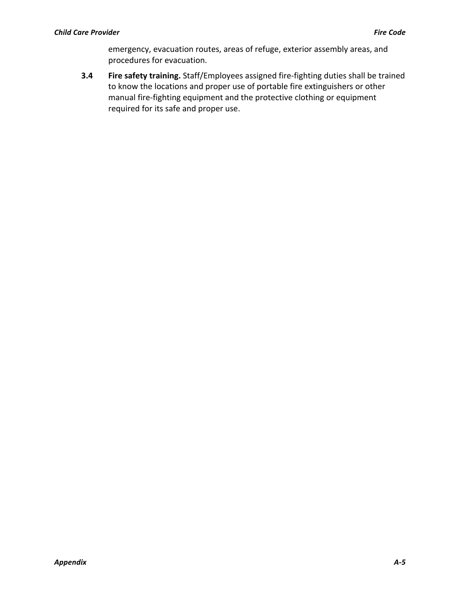emergency, evacuation routes, areas of refuge, exterior assembly areas, and procedures for evacuation.

**3.4 Fire safety training.** Staff/Employees assigned fire-fighting duties shall be trained to know the locations and proper use of portable fire extinguishers or other manual fire-fighting equipment and the protective clothing or equipment required for its safe and proper use.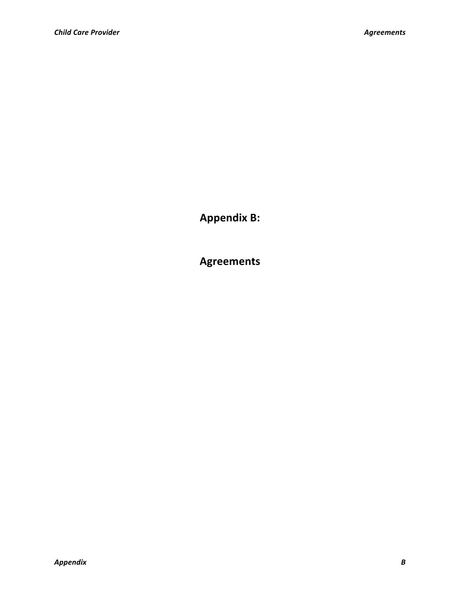**Appendix B:**

**Agreements**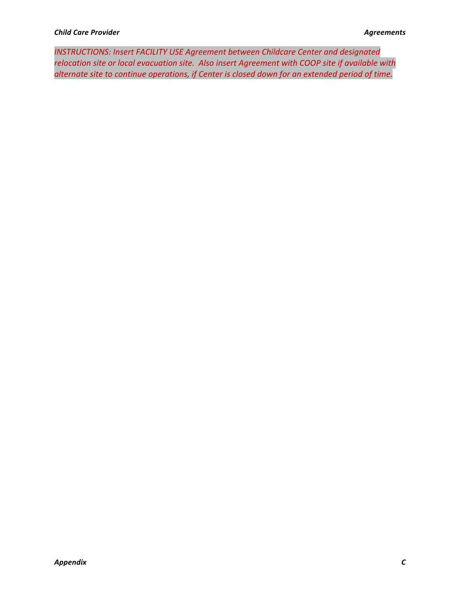**INSTRUCTIONS: Insert FACILITY USE Agreement between Childcare Center and designated** relocation site or local evacuation site. Also insert Agreement with COOP site if available with alternate site to continue operations, if Center is closed down for an extended period of time.